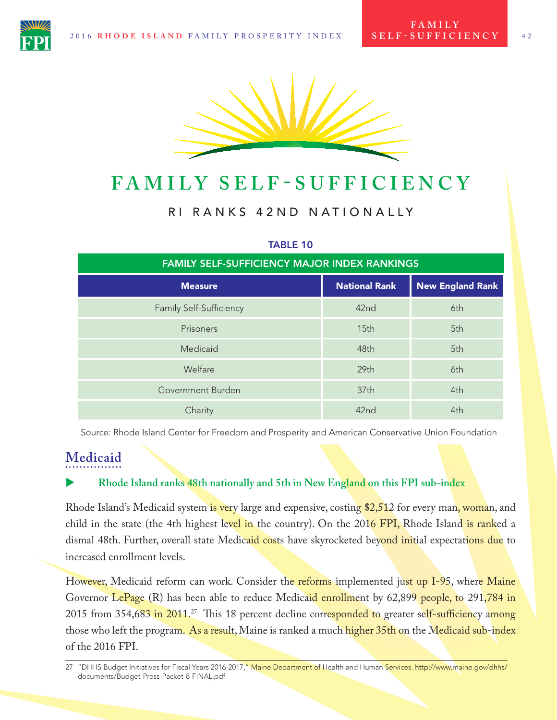

# **FAMILY SELF - SUFFICIENCY**

### RI RANKS 42ND NATIONALLY

| <b>FAMILY SELF-SUFFICIENCY MAJOR INDEX RANKINGS</b> |                      |                         |
|-----------------------------------------------------|----------------------|-------------------------|
| <b>Measure</b>                                      | <b>National Rank</b> | <b>New England Rank</b> |
| <b>Family Self-Sufficiency</b>                      | 42nd                 | 6th                     |
| Prisoners                                           | 15th                 | 5th                     |
| Medicaid                                            | 48th                 | 5th                     |
| Welfare                                             | 29th                 | 6th                     |
| Government Burden                                   | 37th                 | 4th                     |
| Charity                                             | 42nd                 | 4th                     |

### TABLE 10

Source: Rhode Island Center for Freedom and Prosperity and American Conservative Union Foundation

## **Medicaid**

#### X **Rhode Island ranks 48th nationally and 5th in New England on this FPI sub-index**

Rhode Island's Medicaid system is very large and expensive, costing \$2,512 for every man, woman, and child in the state (the 4th highest level in the country). On the 2016 FPI, Rhode Island is ranked a dismal 48th. Further, overall state Medicaid costs have skyrocketed beyond initial expectations due to increased enrollment levels.

However, Medicaid reform can work. Consider the reforms implemented just up I-95, where Maine Governor LePage (R) has been able to reduce Medicaid enrollment by 62,899 people, to 291,784 in 2015 from 354,683 in 2011.<sup>27</sup> This 18 percent decline corresponded to greater self-sufficiency among those who left the program. As a result, Maine is ranked a much higher 35th on the Medicaid sub-index of the 2016 FPI.

<sup>27 &</sup>quot;DHHS Budget Initiatives for Fiscal Years 2016-2017," Maine Department of Health and Human Services. http://www.maine.gov/dhhs/ documents/Budget-Press-Packet-8-FINAL.pdf